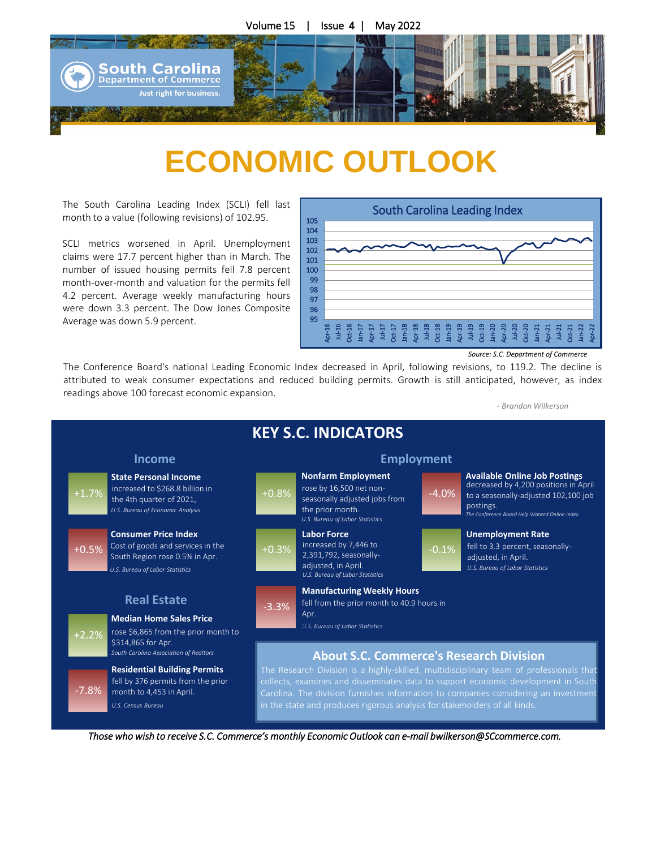

## $\mathbf{A}$ **ECONOMIC OUTLOOK**

The South Carolina Leading Index (SCLI) fell last month to a value (following revisions) of 102.95.

claims were 17.7 percent higher than in March. The<br>number of issued housing negative foll 7.8 negative month-over-month and valuation for the permits fell<br>4.2 percent. Average weekly manufacturing hours SCLI metrics worsened in April. Unemployment number of issued housing permits fell 7.8 percent month-over-month and valuation for the permits fell were down 3.3 percent. The Dow Jones Composite Average was down 5.9 percent.



*Source: S.C. Department of Commerce*

The Conference Board's national Leading Economic Index decreased in April, following revisions, to 119.2. The decline is attributed to weak consumer expectations and reduced building permits. Growth is still anticipated, however, as index readings above 100 forecast economic expansion.

*- Brandon Wilkerson*



*Those who wish to receive S.C. Commerce's monthly Economic Outlook can e-mail bwilkerson@SCcommerce.com.*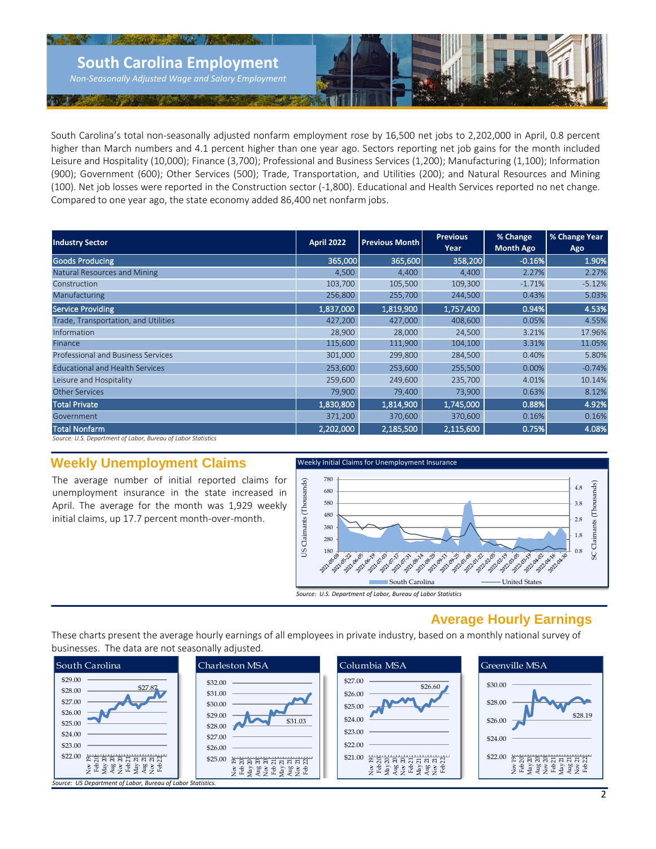

South Carolina's total non-seasonally adjusted nonfarm employment rose by 16,500 net jobs to 2,202,000 in April, 0.8 percent higher than March numbers and 4.1 percent higher than one year ago. Sectors reporting net job gains for the month included Leisure and Hospitality (10,000); Finance (3,700); Professional and Business Services (1,200); Manufacturing (1,100); Information (900); Government (600); Other Services (500); Trade, Transportation, and Utilities (200); and Natural Resources and Mining (100). Net job losses were reported in the Construction sector (-1,800). Educational and Health Services reported no net change. Compared to one year ago, the state economy added 86,400 net nonfarm jobs.

| <b>Industry Sector</b>                                       | April 2022 | <b>Previous Month</b> | <b>Previous</b><br>Year | % Change<br><b>Month Ago</b> | % Change Year<br>Ago |
|--------------------------------------------------------------|------------|-----------------------|-------------------------|------------------------------|----------------------|
| <b>Goods Producing</b>                                       | 365,000    | 365,600               | 358,200                 | $-0.16%$                     | 1.90%                |
| Natural Resources and Mining                                 | 4.500      | 4.400                 | 4.400                   | 2.27%                        | 2.27%                |
| Construction                                                 | 103,700    | 105,500               | 109,300                 | $-1.71%$                     | $-5.12%$             |
| Manufacturing                                                | 256,800    | 255,700               | 244,500                 | 0.43%                        | 5.03%                |
| Service Providing                                            | 1,837,000  | 1,819,900             | 1,757,400               | 0.94%                        | 4.53%                |
| Trade, Transportation, and Utilities                         | 427,200    | 427,000               | 408,600                 | 0.05%                        | 4.55%                |
| Information                                                  | 28,900     | 28,000                | 24,500                  | 3.21%                        | 17.96%               |
| Finance                                                      | 115,600    | 111,900               | 104,100                 | 3.31%                        | 11.05%               |
| <b>Professional and Business Services</b>                    | 301,000    | 299,800               | 284,500                 | 0.40%                        | 5.80%                |
| <b>Educational and Health Services</b>                       | 253,600    | 253,600               | 255,500                 | 0.00%                        | $-0.74%$             |
| Leisure and Hospitality                                      | 259,600    | 249,600               | 235,700                 | 4.01%                        | 10.14%               |
| <b>Other Services</b>                                        | 79,900     | 79,400                | 73,900                  | 0.63%                        | 8.12%                |
| <b>Total Private</b>                                         | 1,830,800  | 1,814,900             | 1,745,000               | 0.88%                        | 4.92%                |
| Government                                                   | 371,200    | 370,600               | 370,600                 | 0.16%                        | 0.16%                |
| <b>Total Nonfarm</b>                                         | 2,202,000  | 2,185,500             | 2,115,600               | 0.75%                        | 4.08%                |
| Source: U.S. Department of Labor, Bureau of Labor Statistics |            |                       |                         |                              |                      |

### **Weekly Unemployment Claims**

The average number of initial reported claims for unemployment insurance in the state increased in April. The average for the month was 1,929 weekly initial claims, up 17.7 percent month-over-month.



## **Average Hourly Earnings**

These charts present the average hourly earnings of all employees in private industry, based on a monthly national survey of businesses. The data are not seasonally adjusted.

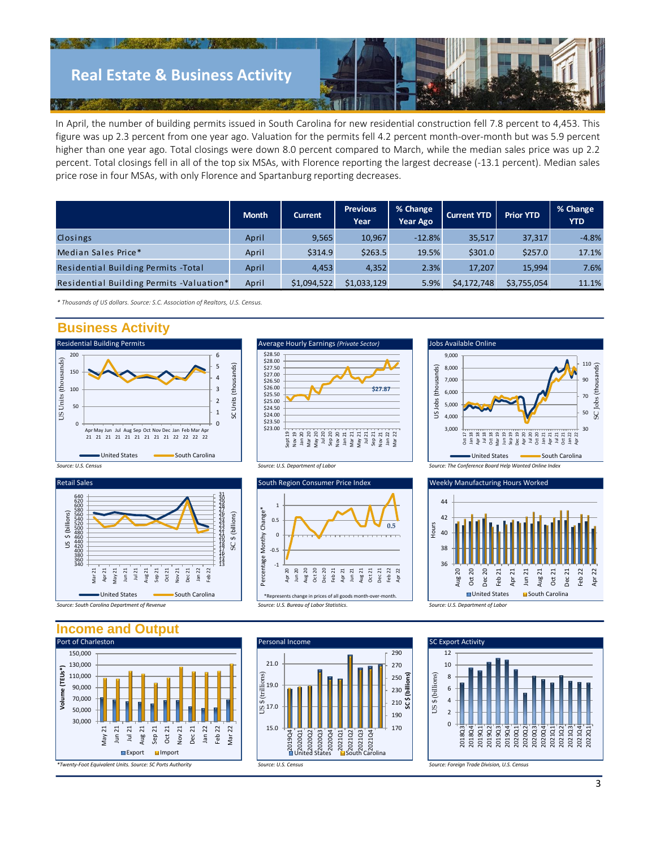

In April, the number of building permits issued in South Carolina for new residential construction fell 7.8 percent to 4,453. This figure was up 2.3 percent from one year ago. Valuation for the permits fell 4.2 percent month-over-month but was 5.9 percent higher than one year ago. Total closings were down 8.0 percent compared to March, while the median sales price was up 2.2 percent. Total closings fell in all of the top six MSAs, with Florence reporting the largest decrease (-13.1 percent). Median sales price rose in four MSAs, with only Florence and Spartanburg reporting decreases.

|                                             | <b>Month</b> | <b>Current</b> | <b>Previous</b><br>Year | % Change<br><b>Year Ago</b> | <b>Current YTD</b> | <b>Prior YTD</b> | % Change<br><b>YTD</b> |
|---------------------------------------------|--------------|----------------|-------------------------|-----------------------------|--------------------|------------------|------------------------|
| Closings                                    | April        | 9,565          | 10,967                  | $-12.8%$                    | 35,517             | 37,317           | $-4.8%$                |
| Median Sales Price*                         | April        | \$314.9        | \$263.5                 | 19.5%                       | \$301.0            | \$257.0          | 17.1%                  |
| <b>Residential Building Permits - Total</b> | April        | 4.453          | 4,352                   | 2.3%                        | 17,207             | 15.994           | 7.6%                   |
| Residential Building Permits -Valuation*    | April        | \$1,094,522    | \$1,033,129             | 5.9%                        | \$4,172,748        | \$3,755,054      | 11.1%                  |

*\* Thousands of US dollars. Source: S.C. Association of Realtors, U.S. Census.* 

## **Business Activity**











36 38 40  $\overline{A}$ 44 Aug 20 Oct 20 Dec 20 Feb 21 Apr 21 Jun 21 Aug 21 Oct 21 Dec 21 Feb 22 Apr 22 Hours

■United States ■ South Carolina

**Income and Output**